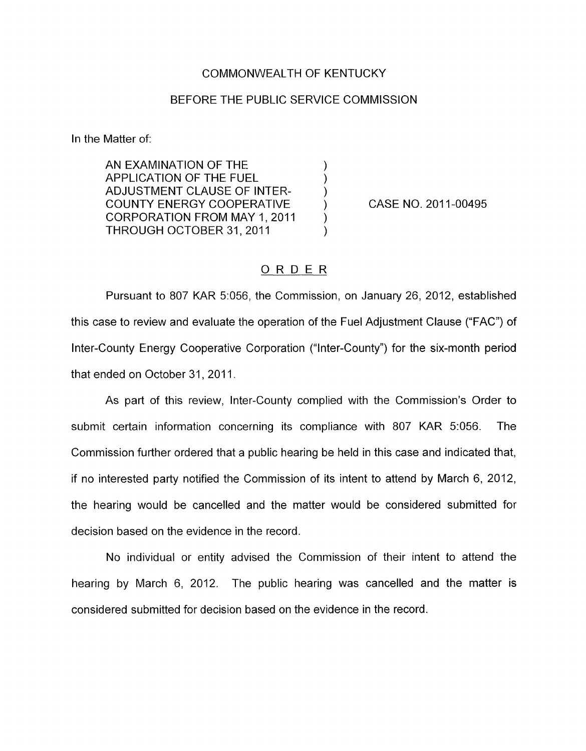## COMMONWEALTH OF KENTUCKY

## BEFORE THE PUBLIC SERVICE COMMISSION

In the Matter of:

AN EXAMINATION OF THE  $\left( \begin{array}{ccc} \bullet & \bullet & \bullet \\ \bullet & \bullet & \bullet \end{array} \right)$ APPLICATION OF THE FUEL )<br>ADJUSTMENT CLAUSE OF INTER- ) ADJUSTMENT CLAUSE OF INTER-<br>COUNTY ENERGY COOPERATIVE (20) COUNTY ENERGY COOPERATIVE (2011) CORPORATION FROM MAY 1, 2011 THROUGH OCTOBER 31, 2011

CASE NO. 2011-00495

## ORDER

Pursuant to *807* KAR 5:056, the Commission, on January 26, 2012, established this case to review and evaluate the operation of the Fuel Adjustment Clause ("FAC") of Inter-County Energy Cooperative Corporation ("Inter-County") for the six-month period that ended on October 31, 2011.

As part of this review, Inter-County complied with the Commission's Order to submit certain information concerning its compliance with 807 KAR 5:056. The Commission further ordered that a public hearing be held in this case and indicated that, if no interested party notified the Commission of its intent to attend by March 6, 2012, the hearing would be cancelled and the matter would be considered submitted for decision based on the evidence in the record.

No individual or entity advised the Commission of their intent to attend the hearing by March 6, 2012. The public hearing was cancelled and the matter is considered submitted for decision based on the evidence in the record.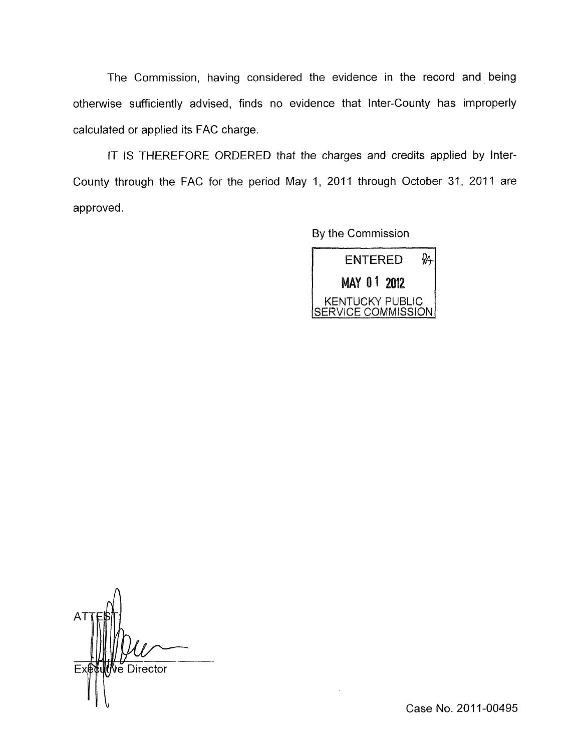The Commission, having considered the evidence in the record and being otherwise sufficiently advised, finds no evidence that Inter-County has improperly calculated or applied its FAC charge.

IT IS THEREFORE ORDERED that the charges and credits applied by Inter-County through the FAC for the period May 1, 2011 through October 31, 2011 are approved.

By the Commission



ve Director  $\vert \vert \vert$ 

Case No. 2011-00495